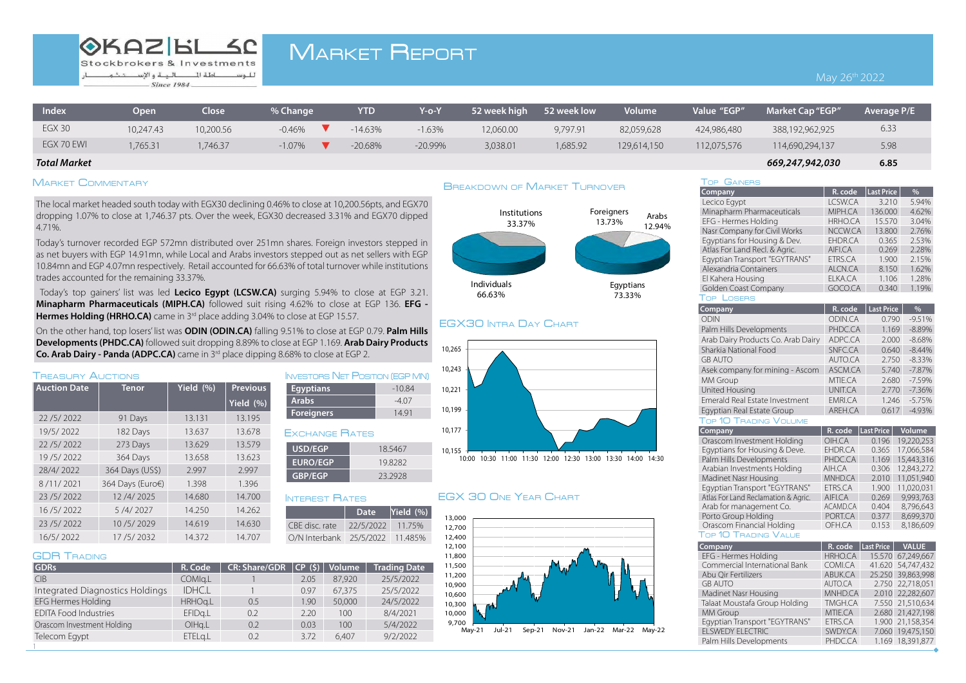# **OKAZIBL SC**

Stockbrokers & Investments للوساطة لل البية والاستثنى Since 1984

# **MARKET REPORT**

# May 26<sup>th</sup> 2022

| Index         | Open      | Close     | % Change | <b>YTD</b> | Y-o-\    | 52 week high | 52 week low | <b>Volume</b> | Value "EGP" | <b>Market Cap</b> "EGP" | Average P/E |
|---------------|-----------|-----------|----------|------------|----------|--------------|-------------|---------------|-------------|-------------------------|-------------|
| <b>EGX 30</b> | 10,247.43 | 10,200.56 | $-0.46%$ | $-14.63%$  | $-1.63%$ | 12,060.00    | 9.797.91    | 82,059,628    | 424,986,480 | 388,192,962,925         | 6.33        |
| EGX 70 EWI    | 765.31    | ,746.37   | $-1.07%$ | $-20.68%$  | -20.99%  | 3,038.01     | ,685.92     | 129,614,150   | 12,075,576  | 114,690,294,137         | 5.98        |

### **6.85** *669,247,942,030 Market Total*

# MARKET COMMENTARY

The local market headed south today with EGX30 declining 0.46% to close at 10.200.56 pts. and EGX70 dropping 1.07% to close at 1.746.37 pts. Over the week, EGX30 decreased 3.31% and EGX70 dipped 4.71%.

Today's turnover recorded EGP 572mn distributed over 251mn shares. Foreign investors stepped in as net buyers with EGP 14.91mn, while Local and Arabs investors stepped out as net sellers with EGP 10.84mn and EGP 4.07mn respectively. Retail accounted for 66.63% of total turnover while institutions trades accounted for the remaining 33.37%.

Today's top gainers' list was led Lecico Egypt (LCSW.CA) surging 5.94% to close at EGP 3.21. **Minapharm Pharmaceuticals (MIPH.CA)** followed suit rising 4.62% to close at EGP 136. EFG -**Hermes Holding (HRHO.CA)** came in 3<sup>rd</sup> place adding 3.04% to close at EGP 15.57.

On the other hand, top losers' list was **ODIN (ODIN.CA)** falling 9.51% to close at EGP 0.79. Palm Hills  **Developments (PHDC.CA)** followed suit dropping 8.89% to close at EGP 1.169. Arab Dairy Products **2. Co. Arab Dairy - Panda (ADPC.CA)** came in 3<sup>rd</sup> place dipping 8.68% to close at EGP 2.

| <b>TREASURY AUCTIONS</b> |                  |           |                 |  |  |
|--------------------------|------------------|-----------|-----------------|--|--|
| <b>Auction Date</b>      | <b>Tenor</b>     | Yield (%) | <b>Previous</b> |  |  |
|                          |                  |           | Yield $(\% )$   |  |  |
| 22/5/2022                | 91 Days          | 13.131    | 13.195          |  |  |
| 19/5/2022                | 182 Days         | 13.637    | 13.678          |  |  |
| 22/5/2022                | 273 Days         | 13.629    | 13.579          |  |  |
| 19/5/2022                | 364 Days         | 13.658    | 13.623          |  |  |
| 28/4/2022                | 364 Days (US\$)  | 2.997     | 2.997           |  |  |
| 8/11/2021                | 364 Days (Euro€) | 1.398     | 1.396           |  |  |
| 23/5/2022                | 12/4/2025        | 14.680    | 14.700          |  |  |
| 16/5/2022                | 5/4/2027         | 14.250    | 14.262          |  |  |
| 23/5/2022                | 10/5/2029        | 14.619    | 14.630          |  |  |
| 16/5/2022                | 17/5/2032        | 14.372    | 14.707          |  |  |

#### **GDB TRADING**

| <b>GDRs</b>                     | R. Code       | <b>CR: Share/GDR</b> | CP(S) | Volume | <b>Trading Date</b> |
|---------------------------------|---------------|----------------------|-------|--------|---------------------|
| CIB                             | COMIg.L       |                      | 2.05  | 87,920 | 25/5/2022           |
| Integrated Diagnostics Holdings | <b>IDHC.I</b> |                      | 0.97  | 67,375 | 25/5/2022           |
| <b>EFG Hermes Holding</b>       | HRHOg.L       | 0.5                  | 1.90  | 50,000 | 24/5/2022           |
| <b>EDITA Food Industries</b>    | EFIDg.L       | 0.2                  | 2.20  | 100    | 8/4/2021            |
| Orascom Investment Holding      | OlHg.L        | 0.2                  | 0.03  | 100    | 5/4/2022            |
| Telecom Egypt                   | ETELg.L       | 0.2                  | 3.72  | 6.407  | 9/2/2022            |
|                                 |               |                      |       |        |                     |

# EXCHANGE RATES **USD/EGP** 18.5467 **EURO/EGP** 19.8282 **GBP/EGP** 23.2928 INVESTORS NET POSITION (EGP MN) **Egyptians**  $-10.84$ -4.07 **Arabs Foreigners** 14.91

| 22/5/2022 11.75% |                                 |
|------------------|---------------------------------|
|                  | O/N Interbank 25/5/2022 11.485% |
|                  |                                 |



Jul-21 Sep-21 Nov-21 Jan-22 Mar-22 May-22

| Institutions<br>33.37% | Foreigners<br>Arabs<br>13.73%<br>12.94% |  |
|------------------------|-----------------------------------------|--|
|                        |                                         |  |
| uals<br>$\sim$ $\sim$  | Egyptians                               |  |

73.33%

# **EGX30 INTRA DAY CHART**

Individuals 66.63%

**BREAKDOWN OF MARKET TURNOVER** 



# INTEREST RATES **EGX 30 ONE YEAR CHART**

13,000

| Arab Dally Products Co. Arab Dally  | ADPL.CA        | 2              |
|-------------------------------------|----------------|----------------|
| Sharkia National Food               | SNFC.CA        | C              |
| <b>GB AUTO</b>                      | AUTO.CA        | 2              |
| Asek company for mining - Ascom     | ASCM.CA        | $\frac{1}{2}$  |
| MM Group                            | MTIE.CA        | $\overline{a}$ |
| United Housing                      | <b>UNIT.CA</b> | $\frac{1}{2}$  |
| Emerald Real Estate Investment      | EMRI.CA        |                |
| Egyptian Real Estate Group          | AREH.CA        | C              |
| <b>TOP 10 TRADING VOLUME</b>        |                |                |
| <b>Company</b>                      | R. code        | Last Prio      |
| Orascom Investment Holding          | OIH.CA         | 0.19           |
| Egyptians for Housing & Deve.       | FHDR.CA        | 0.36           |
| Palm Hills Developments             | PHDC.CA        | 1.16           |
| Arabian Investments Holding         | AIH.CA         | 0.30           |
| Madinet Nasr Housing                | MNHD.CA        | 2.01           |
| Egyptian Transport "EGYTRANS"       | ETRS.CA        | 1.90           |
| Atlas For Land Reclamation & Agric. | AIFI.CA        | 0.26           |
| Arab for management Co.             | ACAMD.CA       | 0.40           |
| Porto Group Holding                 | PORT.CA        | 0.37           |
|                                     |                |                |

## TOP 10 TRADING VALUE

| Company                       | R. code        | Last Price L | <b>VALUE</b>      |
|-------------------------------|----------------|--------------|-------------------|
| EFG - Hermes Holding          | <b>HRHO.CA</b> |              | 15.570 67,249,667 |
| Commercial International Bank | COMI.CA        |              | 41.620 54.747.432 |
| Abu Qir Fertilizers           | ABUK.CA        |              | 25.250 39,863,998 |
| <b>GB AUTO</b>                | AUTO.CA        |              | 2.750 22,718,051  |
| Madinet Nasr Housing          | MNHD.CA        |              | 2.010 22.282.607  |
| Talaat Moustafa Group Holding | TMGH.CA        |              | 7.550 21,510,634  |
| MM Group                      | MTIE.CA        |              | 2.680 21,427,198  |
| Eqyptian Transport "EGYTRANS" | ETRS.CA        |              | 1.900 21,158,354  |
| <b>ELSWEDY ELECTRIC</b>       | SWDY.CA        |              | 7.060 19,475,150  |
| Palm Hills Developments       | PHDC.CA        |              | 1.169 18,391,877  |

# **TOP GAINERS**

| Company                       | R. code        | <b>Last Price</b> | $\%$  |
|-------------------------------|----------------|-------------------|-------|
| Lecico Egypt                  | LCSW.CA        | 3.210             | 5.94% |
| Minapharm Pharmaceuticals     | MIPH.CA        | 136,000           | 4.62% |
| EFG - Hermes Holding          | <b>HRHO.CA</b> | 15.570            | 3.04% |
| Nasr Company for Civil Works  | NCCW.CA        | 13,800            | 2.76% |
| Eqyptians for Housing & Dev.  | EHDR.CA        | 0.365             | 2.53% |
| Atlas For Land Recl. & Agric. | <b>AIFLCA</b>  | 0.269             | 2.28% |
| Egyptian Transport "EGYTRANS" | ETRS.CA        | 1.900             | 2.15% |
| Alexandria Containers         | ALCN.CA        | 8.150             | 1.62% |
| El Kahera Housing             | ELKA.CA        | 1.106             | 1.28% |
| <b>Golden Coast Company</b>   | GOCO.CA        | 0.340             | 1.19% |
| OSERS<br>Top                  |                |                   |       |

| Company                            | R. code        | <b>Last Price</b> | $\frac{0}{0}$ |
|------------------------------------|----------------|-------------------|---------------|
| ODIN                               | ODIN.CA        | 0.790             | $-9.51%$      |
| Palm Hills Developments            | PHDC.CA        | 1.169             | $-8.89%$      |
| Arab Dairy Products Co. Arab Dairy | ADPC.CA        | 2.000             | $-8.68%$      |
| Sharkia National Food              | <b>SNFC.CA</b> | 0.640             | $-8.44%$      |
| <b>GB AUTO</b>                     | AUTO.CA        | 2.750             | $-8.33%$      |
| Asek company for mining - Ascom    | <b>ASCM.CA</b> | 5.740             | $-7.87%$      |
| MM Group                           | MTIE.CA        | 2.680             | $-7.59%$      |
| United Housing                     | UNIT.CA        | 2.770             | $-7.36%$      |
| Emerald Real Estate Investment     | EMRI.CA        | 1.246             | $-5.75%$      |
| Egyptian Real Estate Group         | AREH.CA        | 0.617             | $-4.93%$      |

| Company                             | R. code        | Last Price | <b>Volume</b> |
|-------------------------------------|----------------|------------|---------------|
| Orascom Investment Holding          | OIH.CA         | 0.196      | 19.220.253    |
| Eqyptians for Housing & Deve.       | EHDR.CA        | 0.365      | 17,066,584    |
| Palm Hills Developments             | PHDC.CA        | 1.169      | 15,443,316    |
| Arabian Investments Holding         | AIH.CA         | 0.306      | 12.843.272    |
| Madinet Nasr Housing                | MNHD.CA        | 2.010      | 11,051,940    |
| Eqyptian Transport "EGYTRANS"       | ETRS.CA        | 1.900      | 11.020.031    |
| Atlas For Land Reclamation & Agric. | <b>AIFI.CA</b> | 0.269      | 9.993.763     |
| Arab for management Co.             | ACAMD.CA       | 0.404      | 8.796.643     |
| Porto Group Holding                 | PORT.CA        | 0.377      | 8.699.370     |
| Orascom Financial Holding           | OFH.CA         | 0.153      | 8,186,609     |